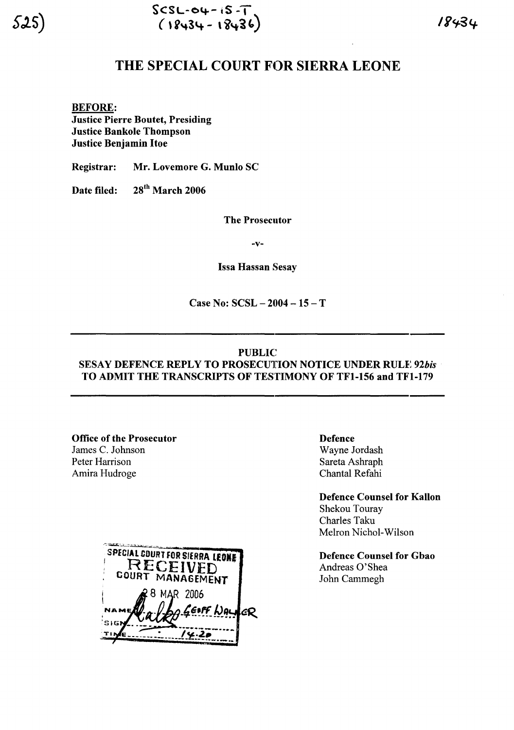# THE SPECIAL COURT FOR SIERRA LEONE

BEFORE: Justice Pierre Boutet, Presiding Justice Bankole Thompson Justice Benjamin Hoe

Registrar: Mr. Lovemore G. Munlo SC

Date filed: 28<sup>th</sup> March 2006

The Prosecutor

-v-

Issa Hassan Sesay

Case No:  $SCSL - 2004 - 15 - T$ 

#### PUBLIC

## SESAY DEFENCE REPLY TO PROSECUTION NOTICE UNDER RULE 92bis TO ADMIT THE TRANSCRIPTS OF TESTIMONY OF TFI-156 and TFI-179

#### Office of the Prosecutor

James C. Johnson Peter Harrison Amira Hudroge



Defence Wayne Jordash Sareta Ashraph Chantal Refahi

Defence Counsel for Kallon Shekou Touray Charles Taku Melron Nichol-Wilson

Defence Counsel for Gbao Andreas O'Shea John Cammegh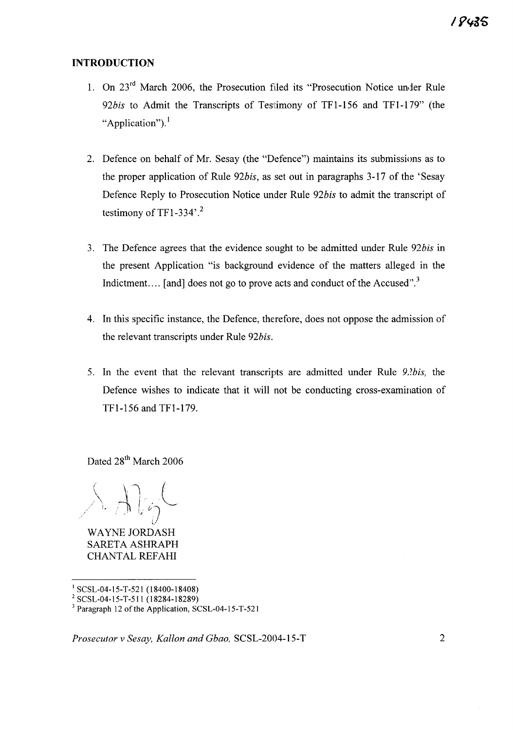### **INTRODUCTION**

- 1. On 23rd March 2006, the Prosecution filed its "Prosecution Notice under Rule 92bis to Admit the Transcripts of Testimony of TF1-156 and TF1-179" (the "Application").<sup>1</sup>
- 2. Defence on behalf of Mr. Sesay (the "Defence") maintains its submissions as to the proper application of Rule *92bis,* as set out in paragraphs 3-17 of the 'Sesay Defence Reply to Prosecution Notice under Rule *92bis* to admit the transcript of testimony of TF1-334 $^{\circ}$ .<sup>2</sup>
- 3. The Defence agrees that the evidence sought to be admitted under Rule *92bis* in the present Application "is background evidence of the matters alleged in the Indictment.... [and] does not go to prove acts and conduct of the Accused".<sup>3</sup>
- 4. In this specific instance, the Defence, therefore, does not oppose the admission of the relevant transcripts under Rule *92bis.*
- 5. In the event that the relevant transcripts are admitted under Rule  $9.2$ bis, the Defence wishes to indicate that it will not be conducting cross-examination of TFl-156 and TFl-179.

Dated 28<sup>th</sup> March 2006

 $\lambda$  . Algh *v*

WAYNE JORDASH SARETA ASHRAPH CHANTAL REFAHI

<sup>I</sup> SCSL-04-15-T-521 (18400-18408)

*Prosecutor* v *Sesay, Kallon and Gbao,* SCSL-2004-15-T 2

<sup>2</sup> SCSL-04-15-T-511 (18284-18289)

 $3$  Paragraph 12 of the Application, SCSL-04-15-T-521